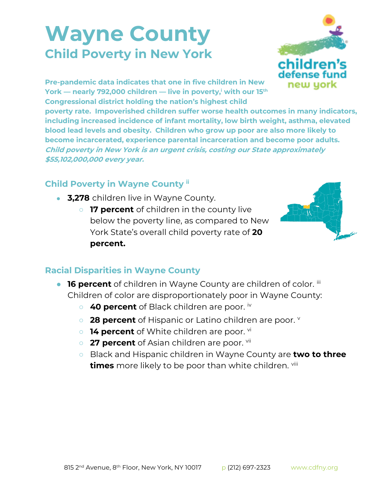## **Wayne County Child Poverty in New York**



**Pre-pandemic data indicates that one in five children in New York — nearly 792,000 children — live in poverty,<sup>i</sup> with our 15th Congressional district holding the nation's highest child** 

**poverty rate. Impoverished children suffer worse health outcomes in many indicators, including increased incidence of infant mortality, low birth weight, asthma, elevated blood lead levels and obesity. Children who grow up poor are also more likely to become incarcerated, experience parental incarceration and become poor adults. Child poverty in New York is an urgent crisis, costing our State approximately \$55,102,000,000 every year.**

## **Child Poverty in Wayne County ii**

- **3,278** children live in Wayne County.
	- **17 percent** of children in the county live below the poverty line, as compared to New York State's overall child poverty rate of **20 percent.**



## **Racial Disparities in Wayne County**

- **16 percent** of children in Wayne County are children of color. iii Children of color are disproportionately poor in Wayne County:
	- 40 percent of Black children are poor. iv
	- **28 percent** of Hispanic or Latino children are poor. **v**
	- **14 percent** of White children are poor. <sup>vi</sup>
	- **27 percent** of Asian children are poor. vii
	- Black and Hispanic children in Wayne County are **two to three times** more likely to be poor than white children. viii